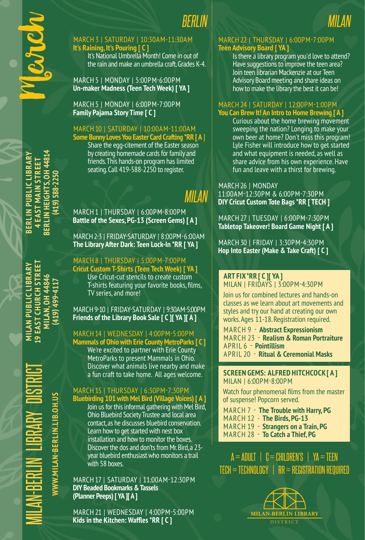

MARCH 3 | SATURDAY | 10:30AM-11:30AM **It's Raining, It's Pouring [ C ]** It's National Umbrella Month! Come in out of the rain and make an umbrella craft. Grades K-4.

MARCH 5 | MONDAY | 5:00PM-6:00PM **Un-maker Madness (Teen Tech Week) [ YA ]**

MARCH 5 | MONDAY | 6:00PM-7:00PM **Family Pajama Story Time [ C ]**

### MARCH 10 | SATURDAY | 10:00AM-11:00AM

**Some Bunny Loves You Easter Card Crafting \*RR [ A** ] Share the egg-citement of the Easter season by creating homemade cards for family and friends. This hands-on program has limited seating. Call 419-588-2250 to register.

### *MILAN*

*BERLIN*

MARCH 1 | THURSDAY | 6:00PM-8:00PM **Battle of the Sexes, PG-13 (Screen Gems) [ A ]**

MARCH 2-3 | FRIDAY-SATURDAY | 8:00PM-6:00AM **The Library After Dark: Teen Lock-In \*RR [ YA ]**

MARCH 8 | THURSDAY | 5:00PM-7:00PM **Cricut Custom T-Shirts (Teen Tech Week) [ YA ]** Use Cricut-cut stencils to create custom T-shirts featuring your favorite books, films, TV series, and more!

### MARCH 9-10 | FRIDAY-SATURDAY | 9:30AM-5:00PM **Friends of the Library Book Sale [ C ][ YA ][ A ]**

### MARCH 14 | WEDNESDAY | 4:00PM-5:00PM

**Mammals of Ohio with Erie County MetroParks [ C ]** We're excited to partner with Erie County MetroParks to present Mammals in Ohio. Discover what animals live nearby and make a fun craft to take home. All ages welcome.

MARCH 15 | THURSDAY | 6:30PM-7:30PM **Bluebirding 101 with Mel Bird (Village Voices) [ A ]** Join us for this informal gathering with Mel Bird, Ohio Bluebird Society Trustee and local area contact, as he discusses bluebird conservation. Learn how to get started with nest box installation and how to monitor the boxes. Discover the dos and don'ts from Mr. Bird, a 23 year bluebird enthusiast who monitors a trail with 58 boxes.

MARCH 17 | SATURDAY | 11:00AM-12:30PM **DIY Beaded Bookmarks & Tassels (Planner Peeps) [ YA ][ A ]**

MARCH 21 | WEDNESDAY | 4:00PM-5:00PM Kids in the Kitchen: Waffles \*RR [ C ]

### MARCH 22 | THURSDAY | 6:00PM-7:00PM **Teen Advisory Board [ YA ]**

Is there a library program you'd love to attend? Have suggestions to improve the teen area? Join teen librarian Mackenzie at our Teen Advisory Board meeting and share ideas on how to make the library the best it can be!

*MILAN*

### MARCH 24 | SATURDAY | 12:00PM-1:00PM **You Can Brew It! An Intro to Home Brewing [ A ]**

Curious about the home brewing movement sweeping the nation? Longing to make your own beer at home? Don't miss this program! Lyle Fisher will introduce how to get started and what equipment is needed, as well as share advice from his own experience. Have fun and leave with a thirst for brewing.

### MARCH 26 | MONDAY 11:00AM-12:30PM & 6:00PM-7:30PM **DIY Cricut Custom Tote Bags \*RR [ TECH ]**

MARCH 27 | TUESDAY | 6:00PM-7:30PM **Tabletop Takeover! Board Game Night [ A ]**

MARCH 30 | FRIDAY | 3:30PM-4:30PM **Hop Into Easter (Make & Take Craft) [ C ]**

### **ART FIX \*RR [ C ][ YA ]** MILAN | FRIDAYS | 3:00PM-4:30PM

Join us for combined lectures and hands-on classes as we learn about art movements and styles and try our hand at creating our own works. Ages 11-18. Registration required.

MARCH 9 - **Abstract Expressionism**  MARCH 23 - **Realism & Roman Portraiture** APRIL 6 - **Pointillism**  APRIL 20 - **Ritual & Ceremonial Masks**

### **SCREEN GEMS: ALFRED HITCHCOCK [ A ]** MILAN | 6:00PM-8:00PM

Watch four phenomenal films from the master of suspense! Popcorn served.

MARCH 7 - **The Trouble with Harry, PG** MARCH 12 - **The Birds, PG-13** MARCH 19 - **Strangers on a Train, PG**  MARCH 28 - **To Catch a Thief, PG**

 $A = ADULT$  |  $C = CHILDREN'S$  |  $YA = TEEN$ TECH = TECHNOLOGY | RR = REGISTRATION REQUIRED



**BERLIN HEIGHTS, OH 44814 BERLIN HEIGHTS, OH 44814 BERLIN PUBLIC LIBRARY BERLIN PUBLIC LIBRARY 4 EAST MAIN STREET 4 EAST MAIN STREET**  $(419)$  588-2250 **(419) 588-2250**

**9 EAST CHURCH STREET MILAN PUBLIC LIBRARY MILAN, OH 44846** 419) 499-4117 **(419) 499-4117**

MILAN-BERLIN LIBRARY DISTRICT **MILAN PUBLIC LIBRARY 19 EAST CHURCH STREET MILAN, OH 44846** WWW.MILAN-BERLIN.LIB.OH.US **WWW.MILAN-BERLIN.LIB.OH.US**